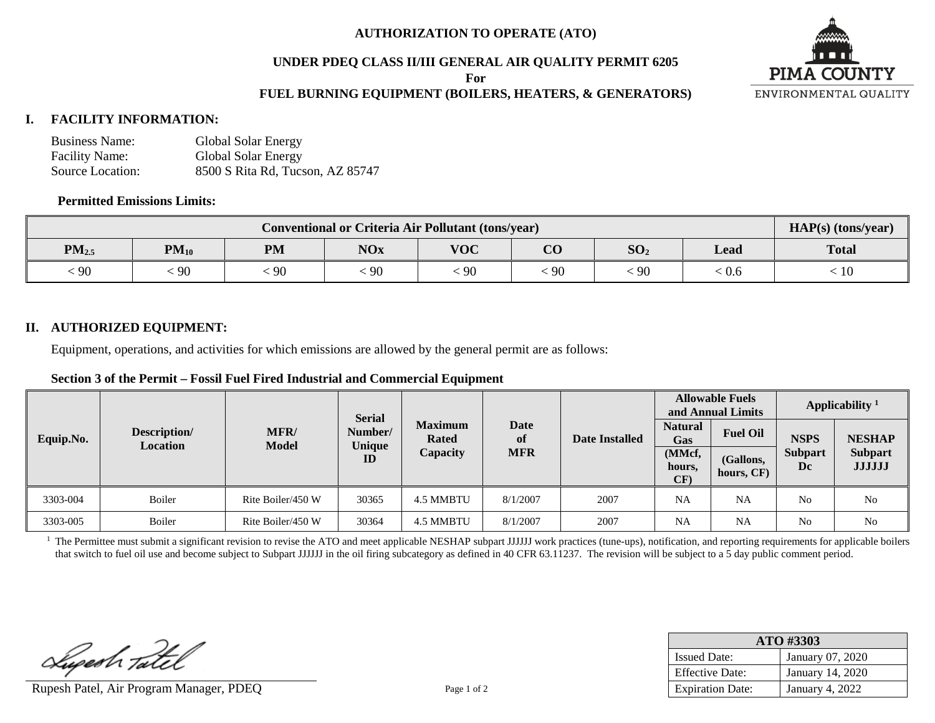#### **AUTHORIZATION TO OPERATE (ATO)**

### **UNDER PDEQ CLASS II/III GENERAL AIR QUALITY PERMIT 6205**

**For**

## **FUEL BURNING EQUIPMENT (BOILERS, HEATERS, & GENERATORS)**



#### **I. FACILITY INFORMATION:**

| <b>Business Name:</b> | Global Solar Energy              |
|-----------------------|----------------------------------|
| <b>Facility Name:</b> | Global Solar Energy              |
| Source Location:      | 8500 S Rita Rd, Tucson, AZ 85747 |

#### **Permitted Emissions Limits:**

| Conventional or Criteria Air Pollutant (tons/year) |           |           |            |            |                |                 | $HAP(s)$ (tons/year)        |              |
|----------------------------------------------------|-----------|-----------|------------|------------|----------------|-----------------|-----------------------------|--------------|
| $PM_{2.5}$                                         | $PM_{10}$ | <b>PM</b> | <b>NOx</b> | <b>VOC</b> | $\alpha$<br>UU | SO <sub>2</sub> | Lead                        | <b>Total</b> |
| 90                                                 | 90        | 90        | $-90$      | $\cdot$ 90 | 90             | 90              | $\stackrel{<}{_{\sim}} 0.6$ | 10           |

#### **II. AUTHORIZED EQUIPMENT:**

Equipment, operations, and activities for which emissions are allowed by the general permit are as follows:

#### **Section 3 of the Permit – Fossil Fuel Fired Industrial and Commercial Equipment**

|           |                                 |                                                                                                                   |       |                |                                          |      | <b>Allowable Fuels</b><br>and Annual Limits |                         | Applicability <sup>1</sup> |                                 |
|-----------|---------------------------------|-------------------------------------------------------------------------------------------------------------------|-------|----------------|------------------------------------------|------|---------------------------------------------|-------------------------|----------------------------|---------------------------------|
| Equip.No. | Description/<br><b>Location</b> | <b>Serial</b><br><b>Date</b><br><b>Maximum</b><br><b>MFR/</b><br>Number/<br><b>Rated</b><br>of<br>Model<br>Unique |       | Date Installed | <b>Natural</b><br><b>Fuel Oil</b><br>Gas |      | <b>NSPS</b>                                 | <b>NESHAP</b>           |                            |                                 |
|           |                                 |                                                                                                                   | ID    | Capacity       | <b>MFR</b>                               |      | (MMcf,<br>hours,<br>CF)                     | (Gallons,<br>hours, CF) | <b>Subpart</b><br>Dc       | <b>Subpart</b><br><b>JJJJJJ</b> |
| 3303-004  | Boiler                          | Rite Boiler/450 W                                                                                                 | 30365 | 4.5 MMBTU      | 8/1/2007                                 | 2007 | NA                                          | NA                      | N <sub>0</sub>             | No                              |
| 3303-005  | Boiler                          | Rite Boiler/450 W                                                                                                 | 30364 | 4.5 MMBTU      | 8/1/2007                                 | 2007 | <b>NA</b>                                   | NA                      | N <sub>0</sub>             | No                              |

<sup>1</sup> The Permittee must submit a significant revision to revise the ATO and meet applicable NESHAP subpart JJJJJJ work practices (tune-ups), notification, and reporting requirements for applicable boilers that switch to fuel oil use and become subject to Subpart JJJJJJ in the oil firing subcategory as defined in 40 CFR 63.11237. The revision will be subject to a 5 day public comment period.

Lupesh Tatel

Rupesh Patel, Air Program Manager, PDEQ Page 1 of 2

| ATO #3303               |                        |  |  |  |
|-------------------------|------------------------|--|--|--|
| <b>Issued Date:</b>     | January 07, 2020       |  |  |  |
| <b>Effective Date:</b>  | January 14, 2020       |  |  |  |
| <b>Expiration Date:</b> | <b>January 4, 2022</b> |  |  |  |